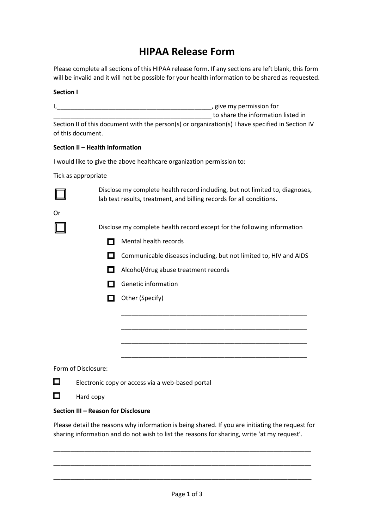# **HIPAA Release Form**

Please complete all sections of this HIPAA release form. If any sections are left blank, this form will be invalid and it will not be possible for your health information to be shared as requested.

# **Section I**

I,\_\_\_\_\_\_\_\_\_\_\_\_\_\_\_\_\_\_\_\_\_\_\_\_\_\_\_\_\_\_\_\_\_\_\_\_\_\_\_\_\_\_\_\_\_, give my permission for \_\_\_\_\_\_\_\_\_\_\_\_\_\_\_\_\_\_\_\_\_\_\_\_\_\_\_\_\_\_\_\_\_\_\_\_\_\_\_\_\_\_\_\_\_\_ to share the information listed in Section II of this document with the person(s) or organization(s) I have specified in Section IV of this document.

# **Section II – Health Information**

I would like to give the above healthcare organization permission to:

Tick as appropriate



Disclose my complete health record including, but not limited to, diagnoses, lab test results, treatment, and billing records for all conditions.

Or

Disclose my complete health record except for the following information

- $\Box$  Mental health records
- $\Box$  Communicable diseases including, but not limited to, HIV and AIDS

\_\_\_\_\_\_\_\_\_\_\_\_\_\_\_\_\_\_\_\_\_\_\_\_\_\_\_\_\_\_\_\_\_\_\_\_\_\_\_\_\_\_\_\_\_\_\_\_\_\_\_\_\_\_

\_\_\_\_\_\_\_\_\_\_\_\_\_\_\_\_\_\_\_\_\_\_\_\_\_\_\_\_\_\_\_\_\_\_\_\_\_\_\_\_\_\_\_\_\_\_\_\_\_\_\_\_\_\_

\_\_\_\_\_\_\_\_\_\_\_\_\_\_\_\_\_\_\_\_\_\_\_\_\_\_\_\_\_\_\_\_\_\_\_\_\_\_\_\_\_\_\_\_\_\_\_\_\_\_\_\_\_\_

\_\_\_\_\_\_\_\_\_\_\_\_\_\_\_\_\_\_\_\_\_\_\_\_\_\_\_\_\_\_\_\_\_\_\_\_\_\_\_\_\_\_\_\_\_\_\_\_\_\_\_\_\_\_

- $\Box$  Alcohol/drug abuse treatment records
- $\Box$  Genetic information
- $\Box$  Other (Specify)

Form of Disclosure:



Electronic copy or access via a web-based portal

 $\Box$ Hard copy

#### **Section III – Reason for Disclosure**

Please detail the reasons why information is being shared. If you are initiating the request for sharing information and do not wish to list the reasons for sharing, write 'at my request'.

\_\_\_\_\_\_\_\_\_\_\_\_\_\_\_\_\_\_\_\_\_\_\_\_\_\_\_\_\_\_\_\_\_\_\_\_\_\_\_\_\_\_\_\_\_\_\_\_\_\_\_\_\_\_\_\_\_\_\_\_\_\_\_\_\_\_\_\_\_\_\_\_\_\_\_

\_\_\_\_\_\_\_\_\_\_\_\_\_\_\_\_\_\_\_\_\_\_\_\_\_\_\_\_\_\_\_\_\_\_\_\_\_\_\_\_\_\_\_\_\_\_\_\_\_\_\_\_\_\_\_\_\_\_\_\_\_\_\_\_\_\_\_\_\_\_\_\_\_\_\_

\_\_\_\_\_\_\_\_\_\_\_\_\_\_\_\_\_\_\_\_\_\_\_\_\_\_\_\_\_\_\_\_\_\_\_\_\_\_\_\_\_\_\_\_\_\_\_\_\_\_\_\_\_\_\_\_\_\_\_\_\_\_\_\_\_\_\_\_\_\_\_\_\_\_\_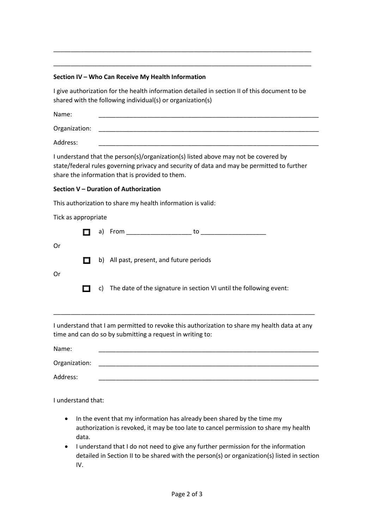# **Section IV – Who Can Receive My Health Information**

I give authorization for the health information detailed in section II of this document to be shared with the following individual(s) or organization(s)

\_\_\_\_\_\_\_\_\_\_\_\_\_\_\_\_\_\_\_\_\_\_\_\_\_\_\_\_\_\_\_\_\_\_\_\_\_\_\_\_\_\_\_\_\_\_\_\_\_\_\_\_\_\_\_\_\_\_\_\_\_\_\_\_\_\_\_\_\_\_\_\_\_\_\_

\_\_\_\_\_\_\_\_\_\_\_\_\_\_\_\_\_\_\_\_\_\_\_\_\_\_\_\_\_\_\_\_\_\_\_\_\_\_\_\_\_\_\_\_\_\_\_\_\_\_\_\_\_\_\_\_\_\_\_\_\_\_\_\_\_\_\_\_\_\_\_\_\_\_\_

| Name:         |  |  |  |
|---------------|--|--|--|
|               |  |  |  |
| Organization: |  |  |  |
|               |  |  |  |

Address: \_\_\_\_\_\_\_\_\_\_\_\_\_\_\_\_\_\_\_\_\_\_\_\_\_\_\_\_\_\_\_\_\_\_\_\_\_\_\_\_\_\_\_\_\_\_\_\_\_\_\_\_\_\_\_\_\_\_\_\_\_\_\_\_

I understand that the person(s)/organization(s) listed above may not be covered by state/federal rules governing privacy and security of data and may be permitted to further share the information that is provided to them.

# **Section V – Duration of Authorization**

This authorization to share my health information is valid:

Tick as appropriate

|    |  | a) From the control of the control of the control of the control of the control of the control of the control o<br>to |
|----|--|-----------------------------------------------------------------------------------------------------------------------|
| Or |  |                                                                                                                       |
|    |  | b) All past, present, and future periods                                                                              |
| Or |  |                                                                                                                       |
|    |  | c) The date of the signature in section VI until the following event:                                                 |
|    |  |                                                                                                                       |
|    |  | I understand that I am permitted to revoke this authorization to share my health data at any                          |

permitted to revoke this authorization to share my health data at any time and can do so by submitting a request in writing to:

Name: \_\_\_\_\_\_\_\_\_\_\_\_\_\_\_\_\_\_\_\_\_\_\_\_\_\_\_\_\_\_\_\_\_\_\_\_\_\_\_\_\_\_\_\_\_\_\_\_\_\_\_\_\_\_\_\_\_\_\_\_\_\_\_\_ Organization:

Address: \_\_\_\_\_\_\_\_\_\_\_\_\_\_\_\_\_\_\_\_\_\_\_\_\_\_\_\_\_\_\_\_\_\_\_\_\_\_\_\_\_\_\_\_\_\_\_\_\_\_\_\_\_\_\_\_\_\_\_\_\_\_\_\_

I understand that:

- In the event that my information has already been shared by the time my authorization is revoked, it may be too late to cancel permission to share my health data.
- I understand that I do not need to give any further permission for the information detailed in Section II to be shared with the person(s) or organization(s) listed in section IV.